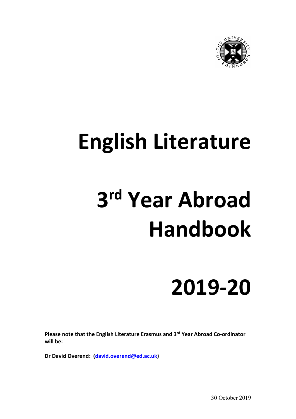

## **English Literature**

# **3rd Year Abroad Handbook**

## **2019-20**

**Please note that the English Literature Erasmus and 3rd Year Abroad Co-ordinator will be:**

**Dr David Overend: [\(david.overend@ed.ac.uk\)](mailto:david.overend@ed.ac.uk)**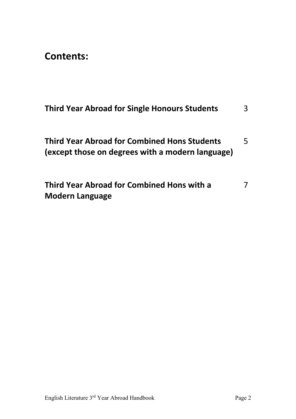**Contents:**

| <b>Third Year Abroad for Single Honours Students</b>                                                    | 3 |
|---------------------------------------------------------------------------------------------------------|---|
| <b>Third Year Abroad for Combined Hons Students</b><br>(except those on degrees with a modern language) | 5 |
| Third Year Abroad for Combined Hons with a<br><b>Modern Language</b>                                    | 7 |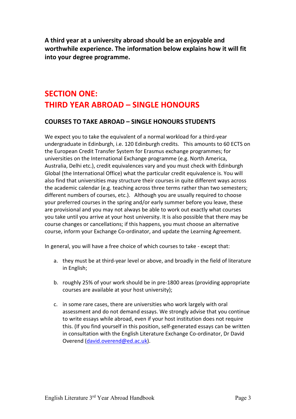**A third year at a university abroad should be an enjoyable and worthwhile experience. The information below explains how it will fit into your degree programme.** 

### **SECTION ONE: THIRD YEAR ABROAD – SINGLE HONOURS**

#### **COURSES TO TAKE ABROAD – SINGLE HONOURS STUDENTS**

We expect you to take the equivalent of a normal workload for a third-year undergraduate in Edinburgh, i.e. 120 Edinburgh credits. This amounts to 60 ECTS on the European Credit Transfer System for Erasmus exchange programmes; for universities on the International Exchange programme (e.g. North America, Australia, Delhi etc.), credit equivalences vary and you must check with Edinburgh Global (the International Office) what the particular credit equivalence is. You will also find that universities may structure their courses in quite different ways across the academic calendar (e.g. teaching across three terms rather than two semesters; different numbers of courses, etc.). Although you are usually required to choose your preferred courses in the spring and/or early summer before you leave, these are provisional and you may not always be able to work out exactly what courses you take until you arrive at your host university. It is also possible that there may be course changes or cancellations; if this happens, you must choose an alternative course, inform your Exchange Co-ordinator, and update the Learning Agreement.

In general, you will have a free choice of which courses to take - except that:

- a. they must be at third-year level or above, and broadly in the field of literature in English;
- b. roughly 25% of your work should be in pre-1800 areas (providing appropriate courses are available at your host university);
- c. in some rare cases, there are universities who work largely with oral assessment and do not demand essays. We strongly advise that you continue to write essays while abroad, even if your host institution does not require this. (If you find yourself in this position, self-generated essays can be written in consultation with the English Literature Exchange Co-ordinator, Dr David Overend [\(david.overend@ed.ac.uk\)](mailto:david.overend@ed.ac.uk).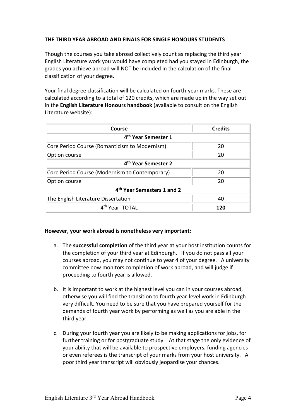#### **THE THIRD YEAR ABROAD AND FINALS FOR SINGLE HONOURS STUDENTS**

Though the courses you take abroad collectively count as replacing the third year English Literature work you would have completed had you stayed in Edinburgh, the grades you achieve abroad will NOT be included in the calculation of the final classification of your degree.

Your final degree classification will be calculated on fourth-year marks. These are calculated according to a total of 120 credits, which are made up in the way set out in the **English Literature Honours handbook** (available to consult on the English Literature website):

| Course                                         | <b>Credits</b> |  |
|------------------------------------------------|----------------|--|
| 4 <sup>th</sup> Year Semester 1                |                |  |
| Core Period Course (Romanticism to Modernism)  | 20             |  |
| Option course                                  | 20             |  |
| 4 <sup>th</sup> Year Semester 2                |                |  |
| Core Period Course (Modernism to Contemporary) | 20             |  |
| Option course                                  | 20             |  |
| 4 <sup>th</sup> Year Semesters 1 and 2         |                |  |
| The English Literature Dissertation            | 40             |  |
| 4 <sup>th</sup> Year TOTAL                     | 120            |  |

#### **However, your work abroad is nonetheless very important:**

- a. The **successful completion** of the third year at your host institution counts for the completion of your third year at Edinburgh. If you do not pass all your courses abroad, you may not continue to year 4 of your degree. A university committee now monitors completion of work abroad, and will judge if proceeding to fourth year is allowed.
- b. It is important to work at the highest level you can in your courses abroad, otherwise you will find the transition to fourth year-level work in Edinburgh very difficult. You need to be sure that you have prepared yourself for the demands of fourth year work by performing as well as you are able in the third year.
- c. During your fourth year you are likely to be making applications for jobs, for further training or for postgraduate study. At that stage the only evidence of your ability that will be available to prospective employers, funding agencies or even referees is the transcript of your marks from your host university. A poor third year transcript will obviously jeopardise your chances.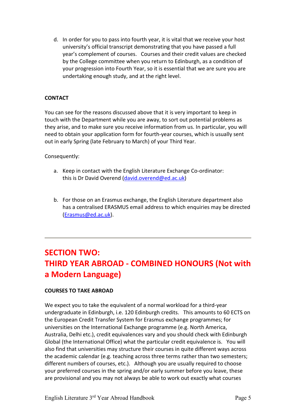d. In order for you to pass into fourth year, it is vital that we receive your host university's official transcript demonstrating that you have passed a full year's complement of courses. Courses and their credit values are checked by the College committee when you return to Edinburgh, as a condition of your progression into Fourth Year, so it is essential that we are sure you are undertaking enough study, and at the right level.

#### **CONTACT**

You can see for the reasons discussed above that it is very important to keep in touch with the Department while you are away, to sort out potential problems as they arise, and to make sure you receive information from us. In particular, you will need to obtain your application form for fourth-year courses, which is usually sent out in early Spring (late February to March) of your Third Year.

Consequently:

- a. Keep in contact with the English Literature Exchange Co-ordinator: this is Dr David Overend [\(david.overend@ed.ac.uk\)](mailto:david.overend@ed.ac.uk)
- b. For those on an Erasmus exchange, the English Literature department also has a centralised ERASMUS email address to which enquiries may be directed [\(Erasmus@ed.ac.uk\)](mailto:Erasmus@ed.ac.uk).

## **SECTION TWO: THIRD YEAR ABROAD - COMBINED HONOURS (Not with a Modern Language)**

#### **COURSES TO TAKE ABROAD**

We expect you to take the equivalent of a normal workload for a third-year undergraduate in Edinburgh, i.e. 120 Edinburgh credits. This amounts to 60 ECTS on the European Credit Transfer System for Erasmus exchange programmes; for universities on the International Exchange programme (e.g. North America, Australia, Delhi etc.), credit equivalences vary and you should check with Edinburgh Global (the International Office) what the particular credit equivalence is. You will also find that universities may structure their courses in quite different ways across the academic calendar (e.g. teaching across three terms rather than two semesters; different numbers of courses, etc.). Although you are usually required to choose your preferred courses in the spring and/or early summer before you leave, these are provisional and you may not always be able to work out exactly what courses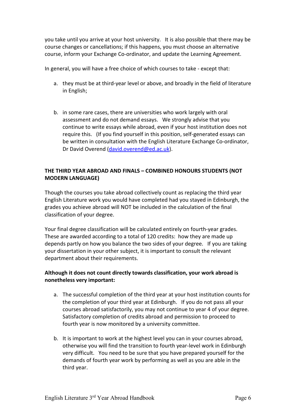you take until you arrive at your host university. It is also possible that there may be course changes or cancellations; if this happens, you must choose an alternative course, inform your Exchange Co-ordinator, and update the Learning Agreement.

In general, you will have a free choice of which courses to take - except that:

- a. they must be at third-year level or above, and broadly in the field of literature in English;
- b. in some rare cases, there are universities who work largely with oral assessment and do not demand essays. We strongly advise that you continue to write essays while abroad, even if your host institution does not require this. (If you find yourself in this position, self-generated essays can be written in consultation with the English Literature Exchange Co-ordinator, Dr David Overend [\(david.overend@ed.ac.uk\)](mailto:david.overend@ed.ac.uk).

#### **THE THIRD YEAR ABROAD AND FINALS – COMBINED HONOURS STUDENTS (NOT MODERN LANGUAGE)**

Though the courses you take abroad collectively count as replacing the third year English Literature work you would have completed had you stayed in Edinburgh, the grades you achieve abroad will NOT be included in the calculation of the final classification of your degree.

Your final degree classification will be calculated entirely on fourth-year grades. These are awarded according to a total of 120 credits: how they are made up depends partly on how you balance the two sides of your degree. If you are taking your dissertation in your other subject, it is important to consult the relevant department about their requirements.

#### **Although it does not count directly towards classification, your work abroad is nonetheless very important:**

- a. The successful completion of the third year at your host institution counts for the completion of your third year at Edinburgh. If you do not pass all your courses abroad satisfactorily, you may not continue to year 4 of your degree. Satisfactory completion of credits abroad and permission to proceed to fourth year is now monitored by a university committee.
- b. It is important to work at the highest level you can in your courses abroad, otherwise you will find the transition to fourth year-level work in Edinburgh very difficult. You need to be sure that you have prepared yourself for the demands of fourth year work by performing as well as you are able in the third year.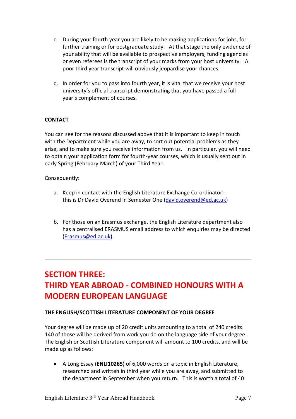- c. During your fourth year you are likely to be making applications for jobs, for further training or for postgraduate study. At that stage the only evidence of your ability that will be available to prospective employers, funding agencies or even referees is the transcript of your marks from your host university. A poor third year transcript will obviously jeopardise your chances.
- d. In order for you to pass into fourth year, it is vital that we receive your host university's official transcript demonstrating that you have passed a full year's complement of courses.

#### **CONTACT**

You can see for the reasons discussed above that it is important to keep in touch with the Department while you are away, to sort out potential problems as they arise, and to make sure you receive information from us. In particular, you will need to obtain your application form for fourth-year courses, which is usually sent out in early Spring (February-March) of your Third Year.

#### Consequently:

- a. Keep in contact with the English Literature Exchange Co-ordinator: this is Dr David Overend in Semester One [\(david.overend@ed.ac.uk\)](mailto:david.overend@ed.ac.uk)
- b. For those on an Erasmus exchange, the English Literature department also has a centralised ERASMUS email address to which enquiries may be directed [\(Erasmus@ed.ac.uk\)](mailto:Erasmus@ed.ac.uk).

## **SECTION THREE: THIRD YEAR ABROAD - COMBINED HONOURS WITH A MODERN EUROPEAN LANGUAGE**

#### **THE ENGLISH/SCOTTISH LITERATURE COMPONENT OF YOUR DEGREE**

Your degree will be made up of 20 credit units amounting to a total of 240 credits. 140 of those will be derived from work you do on the language side of your degree. The English or Scottish Literature component will amount to 100 credits, and will be made up as follows:

• A Long Essay (**ENLI10265**) of 6,000 words on a topic in English Literature, researched and written in third year while you are away, and submitted to the department in September when you return. This is worth a total of 40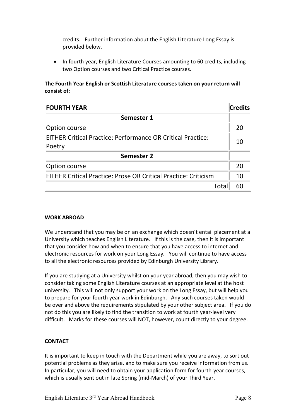credits. Further information about the English Literature Long Essay is provided below.

• In fourth year, English Literature Courses amounting to 60 credits, including two Option courses and two Critical Practice courses.

#### **The Fourth Year English or Scottish Literature courses taken on your return will consist of:**

| <b>FOURTH YEAR</b>                                                           | <b>Credits</b> |
|------------------------------------------------------------------------------|----------------|
| Semester 1                                                                   |                |
| Option course                                                                | 20             |
| <b>EITHER Critical Practice: Performance OR Critical Practice:</b><br>Poetry | 10             |
| <b>Semester 2</b>                                                            |                |
| Option course                                                                | 20             |
| <b>EITHER Critical Practice: Prose OR Critical Practice: Criticism</b>       | 10             |
| Tota                                                                         | 60             |

#### **WORK ABROAD**

We understand that you may be on an exchange which doesn't entail placement at a University which teaches English Literature. If this is the case, then it is important that you consider how and when to ensure that you have access to internet and electronic resources for work on your Long Essay. You will continue to have access to all the electronic resources provided by Edinburgh University Library.

If you are studying at a University whilst on your year abroad, then you may wish to consider taking some English Literature courses at an appropriate level at the host university. This will not only support your work on the Long Essay, but will help you to prepare for your fourth year work in Edinburgh. Any such courses taken would be over and above the requirements stipulated by your other subject area. If you do not do this you are likely to find the transition to work at fourth year-level very difficult. Marks for these courses will NOT, however, count directly to your degree.

#### **CONTACT**

It is important to keep in touch with the Department while you are away, to sort out potential problems as they arise, and to make sure you receive information from us. In particular, you will need to obtain your application form for fourth-year courses, which is usually sent out in late Spring (mid-March) of your Third Year.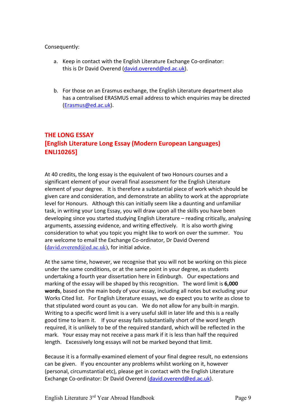#### Consequently:

- a. Keep in contact with the English Literature Exchange Co-ordinator: this is Dr David Overend [\(david.overend@ed.ac.uk\)](mailto:david.overend@ed.ac.uk).
- b. For those on an Erasmus exchange, the English Literature department also has a centralised ERASMUS email address to which enquiries may be directed [\(Erasmus@ed.ac.uk\)](mailto:Erasmus@ed.ac.uk).

#### **THE LONG ESSAY [English Literature Long Essay (Modern European Languages) ENLI10265]**

At 40 credits, the long essay is the equivalent of two Honours courses and a significant element of your overall final assessment for the English Literature element of your degree. It is therefore a substantial piece of work which should be given care and consideration, and demonstrate an ability to work at the appropriate level for Honours. Although this can initially seem like a daunting and unfamiliar task, in writing your Long Essay, you will draw upon all the skills you have been developing since you started studying English Literature – reading critically, analysing arguments, assessing evidence, and writing effectively. It is also worth giving consideration to what you topic you might like to work on over the summer. You are welcome to email the Exchange Co-ordinator, Dr David Overend  $(david.overend@ed.ac.uk)$  $(david.overend@ed.ac.uk)$ , for initial advice.

At the same time, however, we recognise that you will not be working on this piece under the same conditions, or at the same point in your degree, as students undertaking a fourth year dissertation here in Edinburgh. Our expectations and marking of the essay will be shaped by this recognition. The word limit is **6,000 words**, based on the main body of your essay, including all notes but excluding your Works Cited list. For English Literature essays, we do expect you to write as close to that stipulated word count as you can. We do not allow for any built-in margin. Writing to a specific word limit is a very useful skill in later life and this is a really good time to learn it. If your essay falls substantially short of the word length required, it is unlikely to be of the required standard, which will be reflected in the mark. Your essay may not receive a pass mark if it is less than half the required length. Excessively long essays will not be marked beyond that limit.

Because it is a formally-examined element of your final degree result, no extensions can be given. If you encounter any problems whilst working on it, however (personal, circumstantial etc), please get in contact with the English Literature Exchange Co-ordinator: Dr David Overend [\(david.overend@ed.ac.uk\)](mailto:david.overend@ed.ac.uk).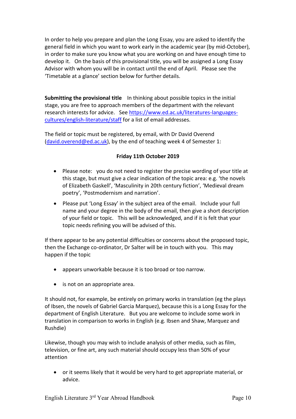In order to help you prepare and plan the Long Essay, you are asked to identify the general field in which you want to work early in the academic year (by mid-October), in order to make sure you know what you are working on and have enough time to develop it. On the basis of this provisional title, you will be assigned a Long Essay Advisor with whom you will be in contact until the end of April. Please see the 'Timetable at a glance' section below for further details.

**Submitting the provisional title** In thinking about possible topics in the initial stage, you are free to approach members of the department with the relevant research interests for advice. Se[e https://www.ed.ac.uk/literatures-languages](https://www.ed.ac.uk/literatures-languages-cultures/english-literature/staff)[cultures/english-literature/staff](https://www.ed.ac.uk/literatures-languages-cultures/english-literature/staff) for a list of email addresses.

The field or topic must be registered, by email, with Dr David Overend [\(david.overend@ed.ac.uk\)](mailto:david.overend@ed.ac.uk), by the end of teaching week 4 of Semester 1:

#### **Friday 11th October 2019**

- Please note: you do not need to register the precise wording of your title at this stage, but must give a clear indication of the topic area: e.g. 'the novels of Elizabeth Gaskell', 'Masculinity in 20th century fiction', 'Medieval dream poetry', 'Postmodernism and narration'.
- Please put 'Long Essay' in the subject area of the email. Include your full name and your degree in the body of the email, then give a short description of your field or topic. This will be acknowledged, and if it is felt that your topic needs refining you will be advised of this.

If there appear to be any potential difficulties or concerns about the proposed topic, then the Exchange co-ordinator, Dr Salter will be in touch with you. This may happen if the topic

- appears unworkable because it is too broad or too narrow.
- is not on an appropriate area.

It should not, for example, be entirely on primary works in translation (eg the plays of Ibsen, the novels of Gabriel Garcia Marquez), because this is a Long Essay for the department of English Literature. But you are welcome to include some work in translation in comparison to works in English (e.g. Ibsen and Shaw, Marquez and Rushdie)

Likewise, though you may wish to include analysis of other media, such as film, television, or fine art, any such material should occupy less than 50% of your attention

• or it seems likely that it would be very hard to get appropriate material, or advice.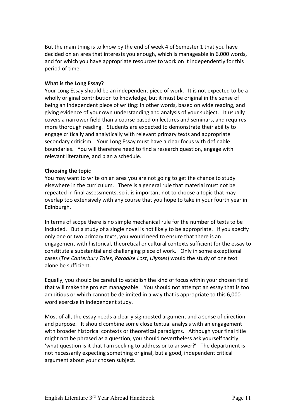But the main thing is to know by the end of week 4 of Semester 1 that you have decided on an area that interests you enough, which is manageable in 6,000 words, and for which you have appropriate resources to work on it independently for this period of time.

#### **What is the Long Essay?**

Your Long Essay should be an independent piece of work. It is not expected to be a wholly original contribution to knowledge, but it must be original in the sense of being an independent piece of writing: in other words, based on wide reading, and giving evidence of your own understanding and analysis of your subject. It usually covers a narrower field than a course based on lectures and seminars, and requires more thorough reading. Students are expected to demonstrate their ability to engage critically and analytically with relevant primary texts and appropriate secondary criticism. Your Long Essay must have a clear focus with definable boundaries. You will therefore need to find a research question, engage with relevant literature, and plan a schedule.

#### **Choosing the topic**

You may want to write on an area you are not going to get the chance to study elsewhere in the curriculum. There is a general rule that material must not be repeated in final assessments, so it is important not to choose a topic that may overlap too extensively with any course that you hope to take in your fourth year in Edinburgh.

In terms of scope there is no simple mechanical rule for the number of texts to be included. But a study of a single novel is not likely to be appropriate. If you specify only one or two primary texts, you would need to ensure that there is an engagement with historical, theoretical or cultural contexts sufficient for the essay to constitute a substantial and challenging piece of work. Only in some exceptional cases (*The Canterbury Tales*, *Paradise Lost*, *Ulysses*) would the study of one text alone be sufficient.

Equally, you should be careful to establish the kind of focus within your chosen field that will make the project manageable. You should not attempt an essay that is too ambitious or which cannot be delimited in a way that is appropriate to this 6,000 word exercise in independent study.

Most of all, the essay needs a clearly signposted argument and a sense of direction and purpose. It should combine some close textual analysis with an engagement with broader historical contexts or theoretical paradigms. Although your final title might not be phrased as a question, you should nevertheless ask yourself tacitly: 'what question is it that I am seeking to address or to answer?' The department is not necessarily expecting something original, but a good, independent critical argument about your chosen subject.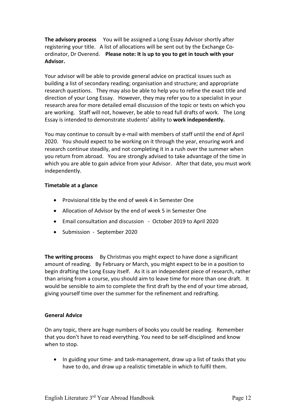**The advisory process** You will be assigned a Long Essay Advisor shortly after registering your title. A list of allocations will be sent out by the Exchange Coordinator, Dr Overend. **Please note: It is up to you to get in touch with your Advisor.**

Your advisor will be able to provide general advice on practical issues such as building a list of secondary reading; organisation and structure; and appropriate research questions. They may also be able to help you to refine the exact title and direction of your Long Essay. However, they may refer you to a specialist in your research area for more detailed email discussion of the topic or texts on which you are working. Staff will not, however, be able to read full drafts of work. The Long Essay is intended to demonstrate students' ability to **work independently.**

You may continue to consult by e-mail with members of staff until the end of April 2020. You should expect to be working on it through the year, ensuring work and research continue steadily, and not completing it in a rush over the summer when you return from abroad. You are strongly advised to take advantage of the time in which you are able to gain advice from your Advisor. After that date, you must work independently.

#### **Timetable at a glance**

- Provisional title by the end of week 4 in Semester One
- Allocation of Advisor by the end of week 5 in Semester One
- Email consultation and discussion October 2019 to April 2020
- Submission September 2020

**The writing process** By Christmas you might expect to have done a significant amount of reading. By February or March, you might expect to be in a position to begin drafting the Long Essay itself. As it is an independent piece of research, rather than arising from a course, you should aim to leave time for more than one draft. It would be sensible to aim to complete the first draft by the end of your time abroad, giving yourself time over the summer for the refinement and redrafting.

#### **General Advice**

On any topic, there are huge numbers of books you could be reading. Remember that you don't have to read everything. You need to be self-disciplined and know when to stop.

• In guiding your time- and task-management, draw up a list of tasks that you have to do, and draw up a realistic timetable in which to fulfil them.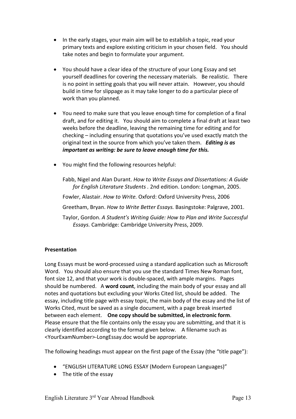- In the early stages, your main aim will be to establish a topic, read your primary texts and explore existing criticism in your chosen field. You should take notes and begin to formulate your argument.
- You should have a clear idea of the structure of your Long Essay and set yourself deadlines for covering the necessary materials. Be realistic. There is no point in setting goals that you will never attain. However, you should build in time for slippage as it may take longer to do a particular piece of work than you planned.
- You need to make sure that you leave enough time for completion of a final draft, and for editing it. You should aim to complete a final draft at least two weeks before the deadline, leaving the remaining time for editing and for checking – including ensuring that quotations you've used exactly match the original text in the source from which you've taken them. *Editing is as important as writing: be sure to leave enough time for this.*
- You might find the following resources helpful:

Fabb, Nigel and Alan Durant. *How to Write Essays and Dissertations: A Guide for English Literature Students .* 2nd edition. London: Longman, 2005.

Fowler, Alastair. *How to Write.* Oxford: Oxford University Press, 2006

Greetham, Bryan. *How to Write Better Essays.* Basingstoke: Palgrave, 2001.

Taylor, Gordon. *A Student's Writing Guide: How to Plan and Write Successful Essays.* Cambridge: Cambridge University Press, 2009.

#### **Presentation**

Long Essays must be word-processed using a standard application such as Microsoft Word. You should also ensure that you use the standard Times New Roman font, font size 12, and that your work is double-spaced, with ample margins. Pages should be numbered. A **word count**, including the main body of your essay and all notes and quotations but excluding your Works Cited list, should be added. The essay, including title page with essay topic, the main body of the essay and the list of Works Cited, must be saved as a single document, with a page break inserted between each element. **One copy should be submitted, in electronic form**. Please ensure that the file contains only the essay you are submitting, and that it is clearly identified according to the format given below. A filename such as <YourExamNumber>-LongEssay.doc would be appropriate.

The following headings must appear on the first page of the Essay (the "title page"):

- "ENGLISH LITERATURE LONG ESSAY (Modern European Languages)"
- The title of the essay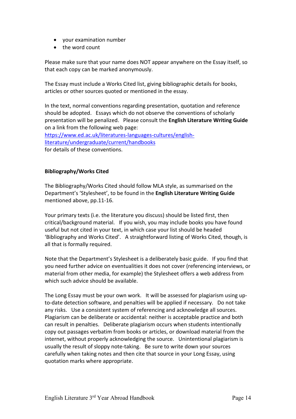- your examination number
- the word count

Please make sure that your name does NOT appear anywhere on the Essay itself, so that each copy can be marked anonymously.

The Essay must include a Works Cited list, giving bibliographic details for books, articles or other sources quoted or mentioned in the essay.

In the text, normal conventions regarding presentation, quotation and reference should be adopted. Essays which do not observe the conventions of scholarly presentation will be penalized. Please consult the **English Literature Writing Guide** on a link from the following web page:

[https://www.ed.ac.uk/literatures-languages-cultures/english](https://www.ed.ac.uk/literatures-languages-cultures/english-literature/undergraduate/current/handbooks)[literature/undergraduate/current/handbooks](https://www.ed.ac.uk/literatures-languages-cultures/english-literature/undergraduate/current/handbooks) for details of these conventions.

#### **Bibliography/Works Cited**

The Bibliography/Works Cited should follow MLA style, as summarised on the Department's 'Stylesheet', to be found in the **English Literature Writing Guide** mentioned above, pp.11-16.

Your primary texts (i.e. the literature you discuss) should be listed first, then critical/background material. If you wish, you may include books you have found useful but not cited in your text, in which case your list should be headed 'Bibliography and Works Cited'. A straightforward listing of Works Cited, though, is all that is formally required.

Note that the Department's Stylesheet is a deliberately basic guide. If you find that you need further advice on eventualities it does not cover (referencing interviews, or material from other media, for example) the Stylesheet offers a web address from which such advice should be available.

The Long Essay must be your own work. It will be assessed for plagiarism using upto-date detection software, and penalties will be applied if necessary. Do not take any risks. Use a consistent system of referencing and acknowledge all sources. Plagiarism can be deliberate or accidental: neither is acceptable practice and both can result in penalties. Deliberate plagiarism occurs when students intentionally copy out passages verbatim from books or articles, or download material from the internet, without properly acknowledging the source. Unintentional plagiarism is usually the result of sloppy note-taking. Be sure to write down your sources carefully when taking notes and then cite that source in your Long Essay, using quotation marks where appropriate.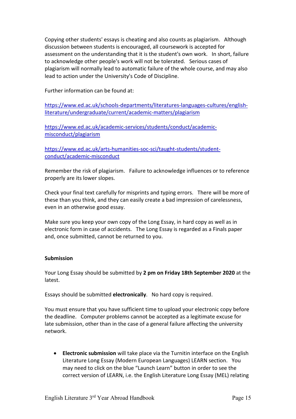Copying other students' essays is cheating and also counts as plagiarism. Although discussion between students is encouraged, all coursework is accepted for assessment on the understanding that it is the student's own work. In short, failure to acknowledge other people's work will not be tolerated. Serious cases of plagiarism will normally lead to automatic failure of the whole course, and may also lead to action under the University's Code of Discipline.

Further information can be found at:

[https://www.ed.ac.uk/schools-departments/literatures-languages-cultures/english](https://www.ed.ac.uk/schools-departments/literatures-languages-cultures/english-literature/undergraduate/current/academic-matters/plagiarism)[literature/undergraduate/current/academic-matters/plagiarism](https://www.ed.ac.uk/schools-departments/literatures-languages-cultures/english-literature/undergraduate/current/academic-matters/plagiarism)

[https://www.ed.ac.uk/academic-services/students/conduct/academic](https://www.ed.ac.uk/academic-services/students/conduct/academic-misconduct/plagiarism)[misconduct/plagiarism](https://www.ed.ac.uk/academic-services/students/conduct/academic-misconduct/plagiarism)

[https://www.ed.ac.uk/arts-humanities-soc-sci/taught-students/student](https://www.ed.ac.uk/arts-humanities-soc-sci/taught-students/student-conduct/academic-misconduct)[conduct/academic-misconduct](https://www.ed.ac.uk/arts-humanities-soc-sci/taught-students/student-conduct/academic-misconduct)

Remember the risk of plagiarism. Failure to acknowledge influences or to reference properly are its lower slopes.

Check your final text carefully for misprints and typing errors. There will be more of these than you think, and they can easily create a bad impression of carelessness, even in an otherwise good essay.

Make sure you keep your own copy of the Long Essay, in hard copy as well as in electronic form in case of accidents. The Long Essay is regarded as a Finals paper and, once submitted, cannot be returned to you.

#### **Submission**

Your Long Essay should be submitted by **2 pm on Friday 18th September 2020** at the latest.

Essays should be submitted **electronically**. No hard copy is required.

You must ensure that you have sufficient time to upload your electronic copy before the deadline. Computer problems cannot be accepted as a legitimate excuse for late submission, other than in the case of a general failure affecting the university network.

• **Electronic submission** will take place via the Turnitin interface on the English Literature Long Essay (Modern European Languages) LEARN section. You may need to click on the blue "Launch Learn" button in order to see the correct version of LEARN, i.e. the English Literature Long Essay (MEL) relating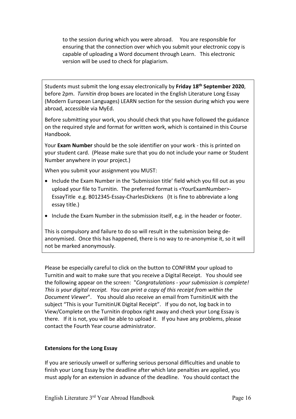to the session during which you were abroad. You are responsible for ensuring that the connection over which you submit your electronic copy is capable of uploading a Word document through Learn. This electronic version will be used to check for plagiarism.

Students must submit the long essay electronically by **Friday 18th September 2020**, before 2pm. *Turnitin* drop boxes are located in the English Literature Long Essay (Modern European Languages) LEARN section for the session during which you were abroad, accessible via MyEd.

Before submitting your work, you should check that you have followed the guidance on the required style and format for written work, which is contained in this Course Handbook.

Your **Exam Number** should be the sole identifier on your work - this is printed on your student card. (Please make sure that you do not include your name or Student Number anywhere in your project.)

When you submit your assignment you MUST:

- Include the Exam Number in the 'Submission title' field which you fill out as you upload your file to Turnitin. The preferred format is <YourExamNumber>- EssayTitle e.g. B012345-Essay-CharlesDickens (It is fine to abbreviate a long essay title.)
- Include the Exam Number in the submission itself, e.g. in the header or footer.

This is compulsory and failure to do so will result in the submission being deanonymised. Once this has happened, there is no way to re-anonymise it, so it will not be marked anonymously.

Please be especially careful to click on the button to CONFIRM your upload to Turnitin and wait to make sure that you receive a Digital Receipt. You should see the following appear on the screen: "*Congratulations - your submission is complete! This is your digital receipt. You can print a copy of this receipt from within the Document Viewer*". You should also receive an email from TurnitinUK with the subject "This is your TurnitinUK Digital Receipt". If you do not, log back in to View/Complete on the Turnitin dropbox right away and check your Long Essay is there. If it is not, you will be able to upload it. If you have any problems, please contact the Fourth Year course administrator.

#### **Extensions for the Long Essay**

If you are seriously unwell or suffering serious personal difficulties and unable to finish your Long Essay by the deadline after which late penalties are applied, you must apply for an extension in advance of the deadline. You should contact the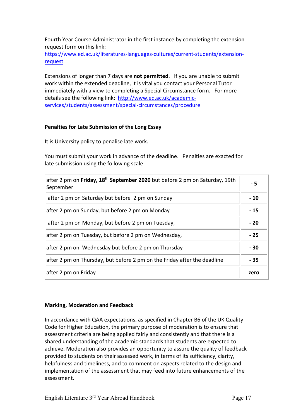Fourth Year Course Administrator in the first instance by completing the extension request form on this link:

[https://www.ed.ac.uk/literatures-languages-cultures/current-students/extension](https://www.ed.ac.uk/literatures-languages-cultures/current-students/extension-request)[request](https://www.ed.ac.uk/literatures-languages-cultures/current-students/extension-request)

Extensions of longer than 7 days are **not permitted**. If you are unable to submit work within the extended deadline, it is vital you contact your Personal Tutor immediately with a view to completing a Special Circumstance form. For more details see the following link: [http://www.ed.ac.uk/academic](http://www.ed.ac.uk/academic-services/students/assessment/special-circumstances/procedure)[services/students/assessment/special-circumstances/procedure](http://www.ed.ac.uk/academic-services/students/assessment/special-circumstances/procedure)

#### **Penalties for Late Submission of the Long Essay**

It is University policy to penalise late work.

You must submit your work in advance of the deadline. Penalties are exacted for late submission using the following scale:

| after 2 pm on <b>Friday, 18<sup>th</sup> September 2020</b> but before 2 pm on Saturday, 19th<br>September | - 5   |
|------------------------------------------------------------------------------------------------------------|-------|
| after 2 pm on Saturday but before 2 pm on Sunday                                                           | $-10$ |
| after 2 pm on Sunday, but before 2 pm on Monday                                                            | $-15$ |
| after 2 pm on Monday, but before 2 pm on Tuesday,                                                          | $-20$ |
| after 2 pm on Tuesday, but before 2 pm on Wednesday,                                                       | $-25$ |
| after 2 pm on Wednesday but before 2 pm on Thursday                                                        | $-30$ |
| after 2 pm on Thursday, but before 2 pm on the Friday after the deadline                                   | $-35$ |
| after 2 pm on Friday                                                                                       | zero  |

#### **Marking, Moderation and Feedback**

In accordance with QAA expectations, as specified in Chapter B6 of the UK Quality Code for Higher Education, the primary purpose of moderation is to ensure that assessment criteria are being applied fairly and consistently and that there is a shared understanding of the academic standards that students are expected to achieve. Moderation also provides an opportunity to assure the quality of feedback provided to students on their assessed work, in terms of its sufficiency, clarity, helpfulness and timeliness, and to comment on aspects related to the design and implementation of the assessment that may feed into future enhancements of the assessment.